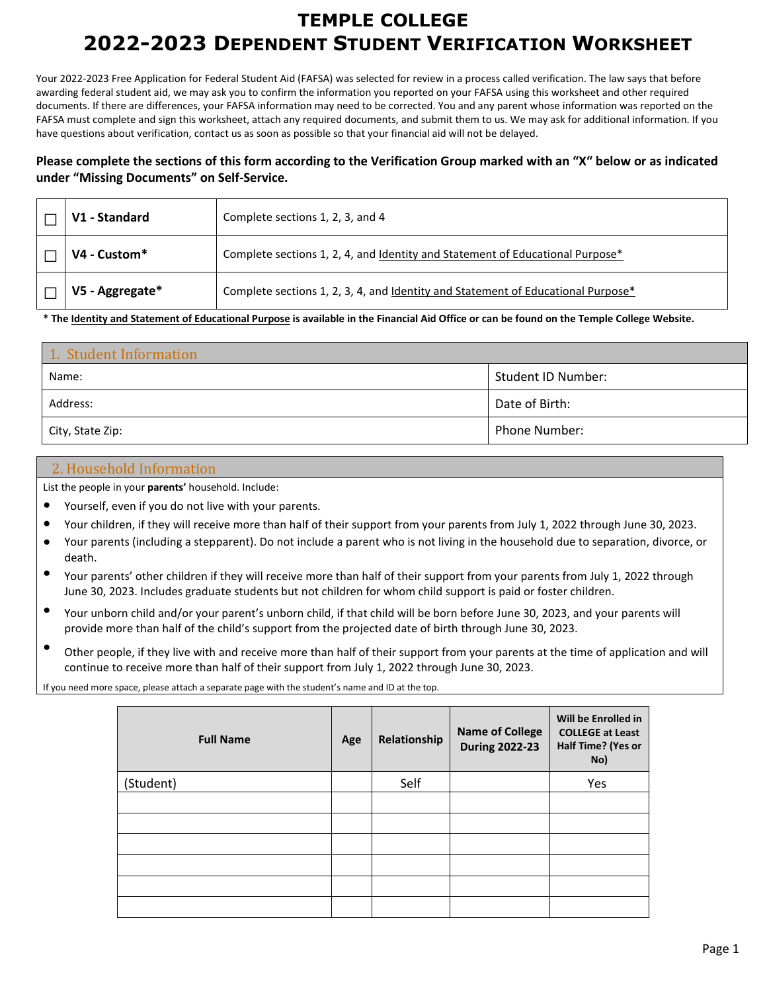# **TEMPLE COLLEGE 2022-2023 DEPENDENT STUDENT VERIFICATION WORKSHEET**

Your 2022-2023 Free Application for Federal Student Aid (FAFSA) was selected for review in a process called verification. The law says that before awarding federal student aid, we may ask you to confirm the information you reported on your FAFSA using this worksheet and other required documents. If there are differences, your FAFSA information may need to be corrected. You and any parent whose information was reported on the FAFSA must complete and sign this worksheet, attach any required documents, and submit them to us. We may ask for additional information. If you have questions about verification, contact us as soon as possible so that your financial aid will not be delayed.

### **Please complete the sections of this form according to the Verification Group marked with an "X" below or as indicated under "Missing Documents" on Self-Service.**

| V1 - Standard   | Complete sections 1, 2, 3, and 4                                                                 |
|-----------------|--------------------------------------------------------------------------------------------------|
| V4 - Custom*    | Complete sections 1, 2, 4, and <u>Identity and Statement of Educational Purpose</u> <sup>*</sup> |
| V5 - Aggregate* | Complete sections 1, 2, 3, 4, and Identity and Statement of Educational Purpose*                 |

**\* The Identity and Statement of Educational Purpose is available in the Financial Aid Office or can be found on the Temple College Website.**

| 1. Student Information |                    |  |
|------------------------|--------------------|--|
| Name:                  | Student ID Number: |  |
| Address:               | Date of Birth:     |  |
| City, State Zip:       | Phone Number:      |  |

### 2. Household Information

List the people in your **parents'** household. Include:

- Yourself, even if you do not live with your parents.
- Your children, if they will receive more than half of their support from your parents from July 1, 2022 through June 30, 2023.
- Your parents (including a stepparent). Do not include a parent who is not living in the household due to separation, divorce, or death.
- Your parents' other children if they will receive more than half of their support from your parents from July 1, 2022 through June 30, 2023. Includes graduate students but not children for whom child support is paid or foster children.
- Your unborn child and/or your parent's unborn child, if that child will be born before June 30, 2023, and your parents will provide more than half of the child's support from the projected date of birth through June 30, 2023.
- Other people, if they live with and receive more than half of their support from your parents at the time of application and will continue to receive more than half of their support from July 1, 2022 through June 30, 2023.

If you need more space, please attach a separate page with the student's name and ID at the top.

| <b>Full Name</b> | Age | Relationship | <b>Name of College</b><br><b>During 2022-23</b> | Will be Enrolled in<br><b>COLLEGE at Least</b><br>Half Time? (Yes or<br>No) |
|------------------|-----|--------------|-------------------------------------------------|-----------------------------------------------------------------------------|
| (Student)        |     | Self         |                                                 | Yes                                                                         |
|                  |     |              |                                                 |                                                                             |
|                  |     |              |                                                 |                                                                             |
|                  |     |              |                                                 |                                                                             |
|                  |     |              |                                                 |                                                                             |
|                  |     |              |                                                 |                                                                             |
|                  |     |              |                                                 |                                                                             |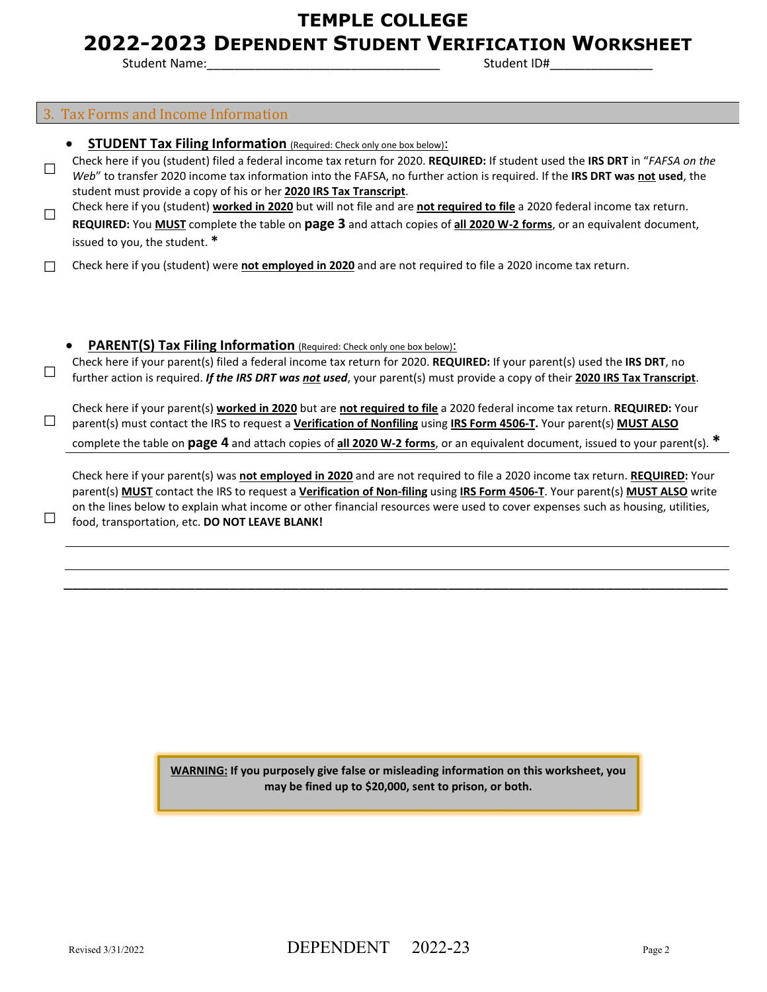# **TEMPLE COLLEGE**

## **2022-2023 DEPENDENT STUDENT VERIFICATION WORKSHEET**

Student Name: The Student ID#

#### 3. Tax Forms and Income Information

- **STUDENT Tax Filing Information** (Required: Check only one box below):
- □ Check here if you (student) filed a federal income tax return for 2020. **REQUIRED:** If student used the **IRS DRT** in "*FAFSA on the Web*" to transfer 2020 income tax information into the FAFSA, no further action is required. If the **IRS DRT was not used**, the student must provide a copy of his or her **2020 IRS Tax Transcript**.
- □ Check here if you (student) **worked in 2020** but will not file and are **not required to file** a 2020 federal income tax return. **REQUIRED:** You **MUST** complete the table on **page 3** and attach copies of **all 2020 W-2 forms**, or an equivalent document, issued to you, the student. **\***
- □ Check here if you (student) were **not employed in 2020** and are not required to file a 2020 income tax return.

**PARENT(S) Tax Filing Information** (Required: Check only one box below): Check here if your parent(s) filed a federal income tax return for 2020. **REQUIRED:** If your parent(s) used the **IRS DRT**, no<br>further action is required. If the IRS DRT was <u>not</u> used, your parent(s) must provide a copy o

Check here if your parent(s) **worked in 2020** but are **not required to file** a 2020 federal income tax return. **REQUIRED:** Your parent(s) must contact the IRS to request a **Verification of Nonfiling** using **IRS Form 4506-T.** Your parent(s) **MUST ALSO** complete the table on **page 4** and attach copies of **all 2020 W-2 forms**, or an equivalent document, issued to your parent(s). **\***

Check here if your parent(s) was **not employed in 2020** and are not required to file a 2020 income tax return. **REQUIRED:** Your parent(s) **MUST** contact the IRS to request a **Verification of Non-filing** using **IRS Form 4506-T**. Your parent(s) **MUST ALSO** write on the lines below to explain what income or other financial resources were used to cover expenses such as housing, utilities, food, transportation, etc. **DO NOT LEAVE BLANK!**

\_\_\_\_\_\_\_\_\_\_\_\_\_\_\_\_\_\_\_\_\_\_\_\_\_\_\_\_\_\_\_\_\_\_\_\_\_\_\_\_\_\_\_\_\_\_\_\_\_\_\_\_\_\_\_\_\_\_\_\_\_\_\_\_\_\_\_\_\_\_\_\_\_\_\_\_

**WARNING: If you purposely give false or misleading information on this worksheet, you may be fined up to \$20,000, sent to prison, or both.**

□

□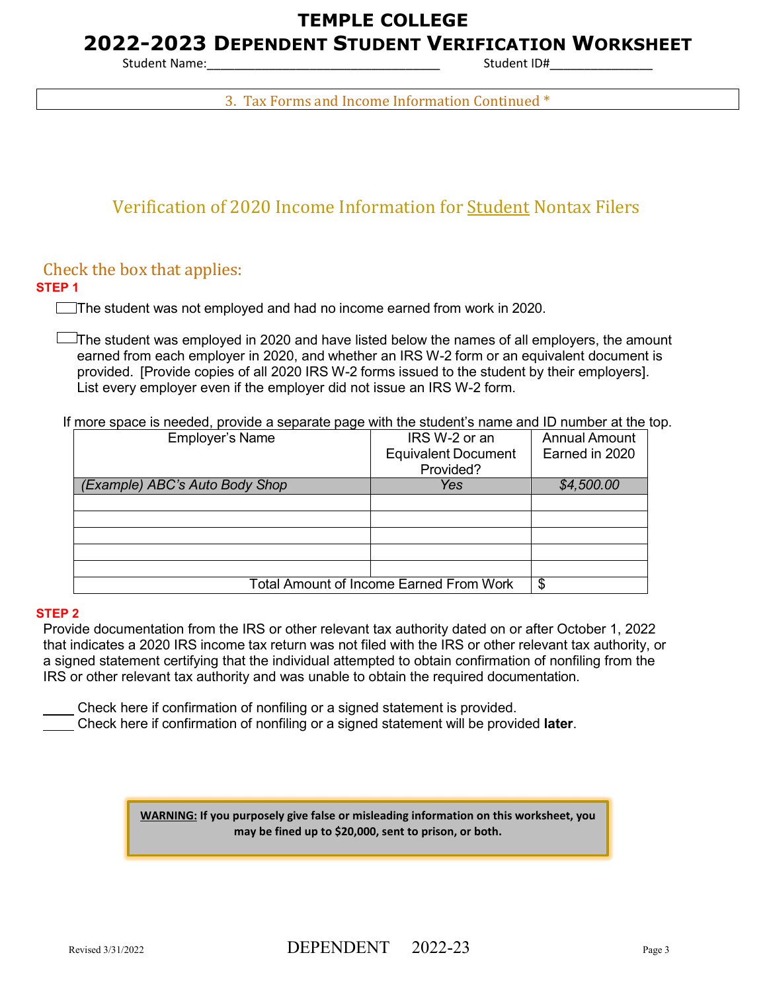# **TEMPLE COLLEGE**

## **2022-2023 DEPENDENT STUDENT VERIFICATION WORKSHEET**

Student Name: The Student ID and Student ID and Student ID and Student ID and Student ID and Student ID and Student ID and Student ID and Student ID and Student ID and Student ID and Student ID and Student ID and Student I

3. Tax Forms and Income Information Continued \*

# Verification of 2020 Income Information for Student Nontax Filers

## Check the box that applies:

### **STEP 1**

The student was not employed and had no income earned from work in 2020.

 $\Box$  The student was employed in 2020 and have listed below the names of all employers, the amount earned from each employer in 2020, and whether an IRS W-2 form or an equivalent document is provided. [Provide copies of all 2020 IRS W-2 forms issued to the student by their employers]. List every employer even if the employer did not issue an IRS W-2 form.

If more space is needed, provide a separate page with the student's name and ID number at the top.

| <b>Employer's Name</b>                         | IRS W-2 or an              | <b>Annual Amount</b> |
|------------------------------------------------|----------------------------|----------------------|
|                                                | <b>Equivalent Document</b> | Earned in 2020       |
|                                                | Provided?                  |                      |
| (Example) ABC's Auto Body Shop                 | Yes                        | \$4,500.00           |
|                                                |                            |                      |
|                                                |                            |                      |
|                                                |                            |                      |
|                                                |                            |                      |
|                                                |                            |                      |
| <b>Total Amount of Income Earned From Work</b> | S                          |                      |

#### **STEP 2**

Provide documentation from the IRS or other relevant tax authority dated on or after October 1, 2022 that indicates a 2020 IRS income tax return was not filed with the IRS or other relevant tax authority, or a signed statement certifying that the individual attempted to obtain confirmation of nonfiling from the IRS or other relevant tax authority and was unable to obtain the required documentation.

Check here if confirmation of nonfiling or a signed statement is provided.

Check here if confirmation of nonfiling or a signed statement will be provided **later**.

**WARNING: If you purposely give false or misleading information on this worksheet, you may be fined up to \$20,000, sent to prison, or both.**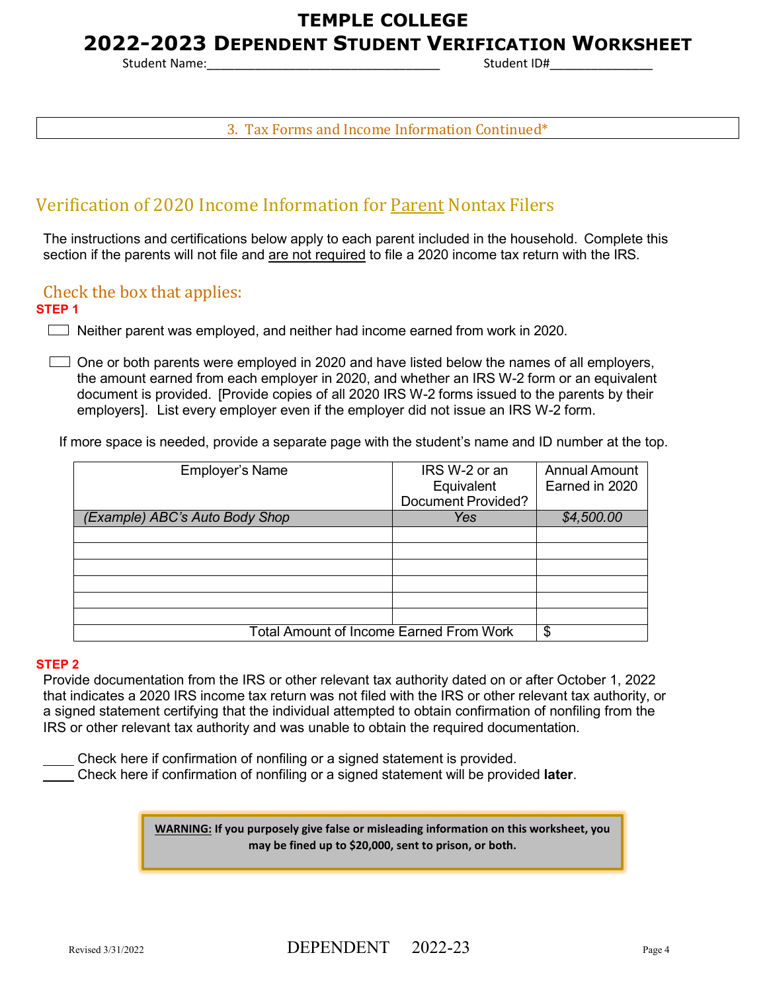# **TEMPLE COLLEGE**

# **2022-2023 DEPENDENT STUDENT VERIFICATION WORKSHEET**

Student Name: The Student ID#

3. Tax Forms and Income Information Continued\*

# Verification of 2020 Income Information for Parent Nontax Filers

The instructions and certifications below apply to each parent included in the household. Complete this section if the parents will not file and are not required to file a 2020 income tax return with the IRS.

## Check the box that applies:

#### **STEP 1**

 $\Box$  Neither parent was employed, and neither had income earned from work in 2020.

 $\Box$  One or both parents were employed in 2020 and have listed below the names of all employers, the amount earned from each employer in 2020, and whether an IRS W-2 form or an equivalent document is provided. [Provide copies of all 2020 IRS W-2 forms issued to the parents by their employers]. List every employer even if the employer did not issue an IRS W-2 form.

If more space is needed, provide a separate page with the student's name and ID number at the top.

| <b>Employer's Name</b>                         | IRS W-2 or an             | <b>Annual Amount</b> |
|------------------------------------------------|---------------------------|----------------------|
|                                                | Equivalent                | Earned in 2020       |
|                                                | <b>Document Provided?</b> |                      |
| (Example) ABC's Auto Body Shop                 | <b>Yes</b>                | \$4,500.00           |
|                                                |                           |                      |
|                                                |                           |                      |
|                                                |                           |                      |
|                                                |                           |                      |
|                                                |                           |                      |
|                                                |                           |                      |
| <b>Total Amount of Income Earned From Work</b> | \$                        |                      |

#### **STEP 2**

Provide documentation from the IRS or other relevant tax authority dated on or after October 1, 2022 that indicates a 2020 IRS income tax return was not filed with the IRS or other relevant tax authority, or a signed statement certifying that the individual attempted to obtain confirmation of nonfiling from the IRS or other relevant tax authority and was unable to obtain the required documentation.

 Check here if confirmation of nonfiling or a signed statement is provided. Check here if confirmation of nonfiling or a signed statement will be provided **later**.

> **WARNING: If you purposely give false or misleading information on this worksheet, you may be fined up to \$20,000, sent to prison, or both.**